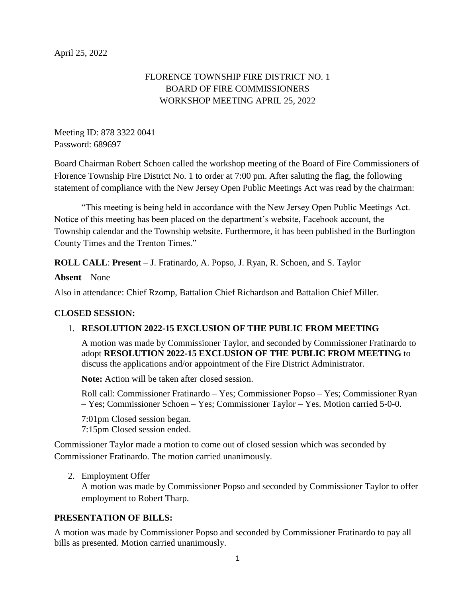# FLORENCE TOWNSHIP FIRE DISTRICT NO. 1 BOARD OF FIRE COMMISSIONERS WORKSHOP MEETING APRIL 25, 2022

Meeting ID: 878 3322 0041 Password: 689697

Board Chairman Robert Schoen called the workshop meeting of the Board of Fire Commissioners of Florence Township Fire District No. 1 to order at 7:00 pm. After saluting the flag, the following statement of compliance with the New Jersey Open Public Meetings Act was read by the chairman:

"This meeting is being held in accordance with the New Jersey Open Public Meetings Act. Notice of this meeting has been placed on the department's website, Facebook account, the Township calendar and the Township website. Furthermore, it has been published in the Burlington County Times and the Trenton Times."

**ROLL CALL**: **Present** – J. Fratinardo, A. Popso, J. Ryan, R. Schoen, and S. Taylor

**Absent** – None

Also in attendance: Chief Rzomp, Battalion Chief Richardson and Battalion Chief Miller.

## **CLOSED SESSION:**

## 1. **RESOLUTION 2022-15 EXCLUSION OF THE PUBLIC FROM MEETING**

A motion was made by Commissioner Taylor, and seconded by Commissioner Fratinardo to adopt **RESOLUTION 2022-15 EXCLUSION OF THE PUBLIC FROM MEETING** to discuss the applications and/or appointment of the Fire District Administrator.

**Note:** Action will be taken after closed session.

Roll call: Commissioner Fratinardo – Yes; Commissioner Popso – Yes; Commissioner Ryan – Yes; Commissioner Schoen – Yes; Commissioner Taylor – Yes. Motion carried 5-0-0.

7:01pm Closed session began. 7:15pm Closed session ended.

Commissioner Taylor made a motion to come out of closed session which was seconded by Commissioner Fratinardo. The motion carried unanimously.

2. Employment Offer A motion was made by Commissioner Popso and seconded by Commissioner Taylor to offer employment to Robert Tharp.

## **PRESENTATION OF BILLS:**

A motion was made by Commissioner Popso and seconded by Commissioner Fratinardo to pay all bills as presented. Motion carried unanimously.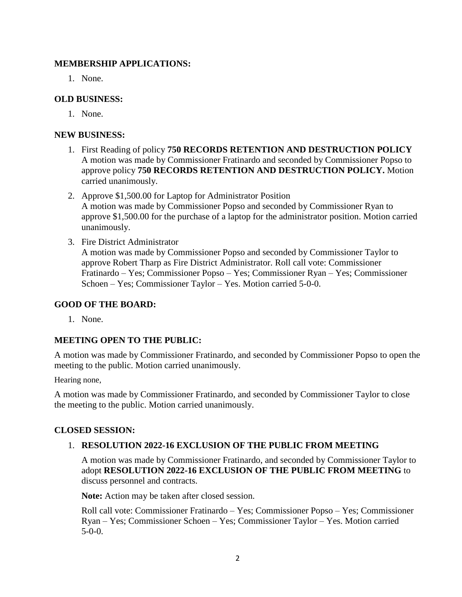#### **MEMBERSHIP APPLICATIONS:**

1. None.

## **OLD BUSINESS:**

1. None.

## **NEW BUSINESS:**

- 1. First Reading of policy **750 RECORDS RETENTION AND DESTRUCTION POLICY** A motion was made by Commissioner Fratinardo and seconded by Commissioner Popso to approve policy **750 RECORDS RETENTION AND DESTRUCTION POLICY.** Motion carried unanimously.
- 2. Approve \$1,500.00 for Laptop for Administrator Position A motion was made by Commissioner Popso and seconded by Commissioner Ryan to approve \$1,500.00 for the purchase of a laptop for the administrator position. Motion carried unanimously.
- 3. Fire District Administrator A motion was made by Commissioner Popso and seconded by Commissioner Taylor to approve Robert Tharp as Fire District Administrator. Roll call vote: Commissioner Fratinardo – Yes; Commissioner Popso – Yes; Commissioner Ryan – Yes; Commissioner Schoen – Yes; Commissioner Taylor – Yes. Motion carried 5-0-0.

## **GOOD OF THE BOARD:**

1. None.

## **MEETING OPEN TO THE PUBLIC:**

A motion was made by Commissioner Fratinardo, and seconded by Commissioner Popso to open the meeting to the public. Motion carried unanimously.

Hearing none,

A motion was made by Commissioner Fratinardo, and seconded by Commissioner Taylor to close the meeting to the public. Motion carried unanimously.

## **CLOSED SESSION:**

## 1. **RESOLUTION 2022-16 EXCLUSION OF THE PUBLIC FROM MEETING**

A motion was made by Commissioner Fratinardo, and seconded by Commissioner Taylor to adopt **RESOLUTION 2022-16 EXCLUSION OF THE PUBLIC FROM MEETING** to discuss personnel and contracts.

**Note:** Action may be taken after closed session.

Roll call vote: Commissioner Fratinardo – Yes; Commissioner Popso – Yes; Commissioner Ryan – Yes; Commissioner Schoen – Yes; Commissioner Taylor – Yes. Motion carried  $5-0-0$ .